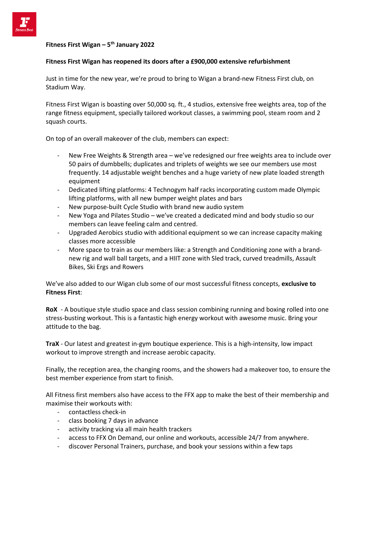

## **Fitness First Wigan – 5 th January 2022**

## **Fitness First Wigan has reopened its doors after a £900,000 extensive refurbishment**

Just in time for the new year, we're proud to bring to Wigan a brand-new Fitness First club, on Stadium Way.

Fitness First Wigan is boasting over 50,000 sq. ft., 4 studios, extensive free weights area, top of the range fitness equipment, specially tailored workout classes, a swimming pool, steam room and 2 squash courts.

On top of an overall makeover of the club, members can expect:

- New Free Weights & Strength area we've redesigned our free weights area to include over 50 pairs of dumbbells; duplicates and triplets of weights we see our members use most frequently. 14 adjustable weight benches and a huge variety of new plate loaded strength equipment
- Dedicated lifting platforms: 4 Technogym half racks incorporating custom made Olympic lifting platforms, with all new bumper weight plates and bars
- New purpose-built Cycle Studio with brand new audio system
- New Yoga and Pilates Studio we've created a dedicated mind and body studio so our members can leave feeling calm and centred.
- Upgraded Aerobics studio with additional equipment so we can increase capacity making classes more accessible
- More space to train as our members like: a Strength and Conditioning zone with a brandnew rig and wall ball targets, and a HIIT zone with Sled track, curved treadmills, Assault Bikes, Ski Ergs and Rowers

We've also added to our Wigan club some of our most successful fitness concepts, **exclusive to Fitness First**:

**RoX** - A boutique style studio space and class session combining running and boxing rolled into one stress-busting workout. This is a fantastic high energy workout with awesome music. Bring your attitude to the bag.

**TraX** - Our latest and greatest in-gym boutique experience. This is a high-intensity, low impact workout to improve strength and increase aerobic capacity.

Finally, the reception area, the changing rooms, and the showers had a makeover too, to ensure the best member experience from start to finish.

All Fitness first members also have access to the FFX app to make the best of their membership and maximise their workouts with:

- contactless check-in
- class booking 7 days in advance
- activity tracking via all main health trackers
- access to FFX On Demand, our online and workouts, accessible 24/7 from anywhere.
- discover Personal Trainers, purchase, and book your sessions within a few taps